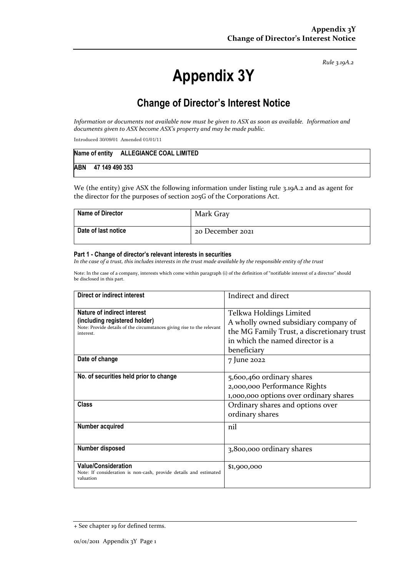*Rule 3.19A.2*

# **Appendix 3Y**

# **Change of Director's Interest Notice**

*Information or documents not available now must be given to ASX as soon as available. Information and documents given to ASX become ASX's property and may be made public.*

Introduced 30/09/01 Amended 01/01/11

|     |  |  | Name of entity ALLEGIANCE COAL LIMITED |
|-----|--|--|----------------------------------------|
| ABN |  |  | 47 149 490 353                         |

We (the entity) give ASX the following information under listing rule 3.19A.2 and as agent for the director for the purposes of section 205G of the Corporations Act.

| <b>Name of Director</b> | Mark Gray        |
|-------------------------|------------------|
| Date of last notice     | 20 December 2021 |

#### **Part 1 - Change of director's relevant interests in securities**

*In the case of a trust, this includes interests in the trust made available by the responsible entity of the trust*

Note: In the case of a company, interests which come within paragraph (i) of the definition of "notifiable interest of a director" should be disclosed in this part.

| Direct or indirect interest                                                                                                                         | Indirect and direct                                                                                                                                              |
|-----------------------------------------------------------------------------------------------------------------------------------------------------|------------------------------------------------------------------------------------------------------------------------------------------------------------------|
| Nature of indirect interest<br>(including registered holder)<br>Note: Provide details of the circumstances giving rise to the relevant<br>interest. | Telkwa Holdings Limited<br>A wholly owned subsidiary company of<br>the MG Family Trust, a discretionary trust<br>in which the named director is a<br>beneficiary |
| Date of change                                                                                                                                      | 7 June 2022                                                                                                                                                      |
| No. of securities held prior to change                                                                                                              | 5,600,460 ordinary shares<br>2,000,000 Performance Rights<br>1,000,000 options over ordinary shares                                                              |
| <b>Class</b>                                                                                                                                        | Ordinary shares and options over<br>ordinary shares                                                                                                              |
| Number acquired                                                                                                                                     | nil                                                                                                                                                              |
| Number disposed                                                                                                                                     | 3,800,000 ordinary shares                                                                                                                                        |
| <b>Value/Consideration</b><br>Note: If consideration is non-cash, provide details and estimated<br>valuation                                        | \$1,900,000                                                                                                                                                      |

<sup>+</sup> See chapter 19 for defined terms.